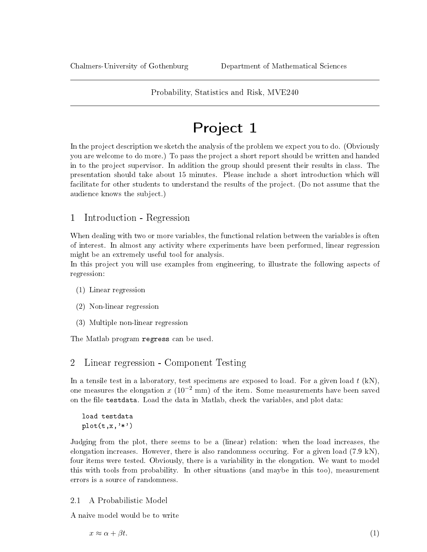# Project 1

In the project description we sketch the analysis of the problem we expect you to do. (Obviously you are welcome to do more.) To pass the project a short report should be written and handed in to the project supervisor. In addition the group should present their results in class. The presentation should take about 15 minutes. Please include a short introduction which will facilitate for other students to understand the results of the project. (Do not assume that the audience knows the subject.)

# 1 Introduction - Regression

When dealing with two or more variables, the functional relation between the variables is often of interest. In almost any activity where experiments have been performed, linear regression might be an extremely useful tool for analysis.

In this project you will use examples from engineering, to illustrate the following aspects of regression:

- (1) Linear regression
- (2) Non-linear regression
- (3) Multiple non-linear regression

The Matlab program regress can be used.

## 2 Linear regression - Component Testing

In a tensile test in a laboratory, test specimens are exposed to load. For a given load  $t$  (kN), one measures the elongation x ( $10^{-2}$  mm) of the item. Some measurements have been saved on the file testdata. Load the data in Matlab, check the variables, and plot data:

```
load testdata
plot(t, x, '*)
```
Judging from the plot, there seems to be a (linear) relation: when the load increases, the elongation increases. However, there is also randomness occuring. For a given load (7.9 kN), four items were tested. Obviously, there is a variability in the elongation. We want to model this with tools from probability. In other situations (and maybe in this too), measurement errors is a source of randomness.

#### 2.1 A Probabilistic Model

A naive model would be to write

<span id="page-0-0"></span> $x \approx \alpha + \beta t.$  (1)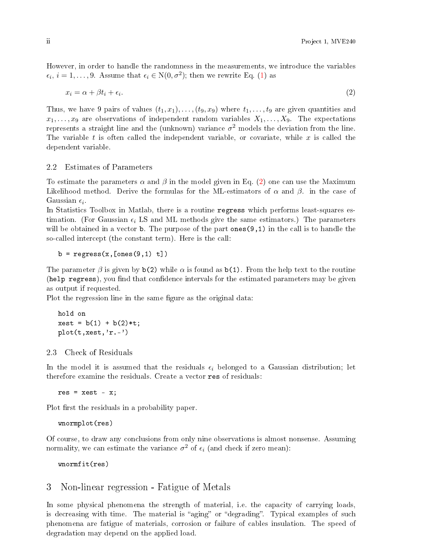However, in order to handle the randomness in the measurements, we introduce the variables  $\epsilon_i, i = 1, \ldots, 9$ . Assume that  $\epsilon_i \in N(0, \sigma^2)$ ; then we rewrite Eq. [\(1\)](#page-0-0) as

<span id="page-1-0"></span>
$$
x_i = \alpha + \beta t_i + \epsilon_i. \tag{2}
$$

Thus, we have 9 pairs of values  $(t_1, x_1), \ldots, (t_9, x_9)$  where  $t_1, \ldots, t_9$  are given quantities and  $x_1, \ldots, x_9$  are observations of independent random variables  $X_1, \ldots, X_9$ . The expectations represents a straight line and the (unknown) variance  $\sigma^2$  models the deviation from the line. The variable  $t$  is often called the independent variable, or covariate, while  $x$  is called the dependent variable.

#### 2.2 Estimates of Parameters

To estimate the parameters  $\alpha$  and  $\beta$  in the model given in Eq. [\(2\)](#page-1-0) one can use the Maximum Likelihood method. Derive the formulas for the ML-estimators of  $\alpha$  and  $\beta$ . in the case of Gaussian  $\epsilon_i$ .

In Statistics Toolbox in Matlab, there is a routine regress which performs least-squares estimation. (For Gaussian  $\epsilon_i$  LS and ML methods give the same estimators.) The parameters will be obtained in a vector **b**. The purpose of the part ones  $(9,1)$  in the call is to handle the so-called intercept (the constant term). Here is the call:

 $b = \text{regress}(x, [\text{ones}(9,1) t])$ 

The parameter  $\beta$  is given by  $b(2)$  while  $\alpha$  is found as  $b(1)$ . From the help text to the routine (help regress), you find that confidence intervals for the estimated parameters may be given as output if requested.

Plot the regression line in the same figure as the original data:

```
hold on
xest = b(1) + b(2) * t;plot(t,xest,'r.-')
```
### 2.3 Check of Residuals

In the model it is assumed that the residuals  $\epsilon_i$  belonged to a Gaussian distribution; let therefore examine the residuals. Create a vector res of residuals:

 $res = xest - x;$ 

Plot first the residuals in a probability paper.

wnormplot(res)

Of course, to draw any conclusions from only nine observations is almost nonsense. Assuming normality, we can estimate the variance  $\sigma^2$  of  $\epsilon_i$  (and check if zero mean):

wnormfit(res)

## 3 Non-linear regression - Fatigue of Metals

In some physical phenomena the strength of material, i.e. the capacity of carrying loads, is decreasing with time. The material is "aging" or "degrading". Typical examples of such phenomena are fatigue of materials, corrosion or failure of cables insulation. The speed of degradation may depend on the applied load.